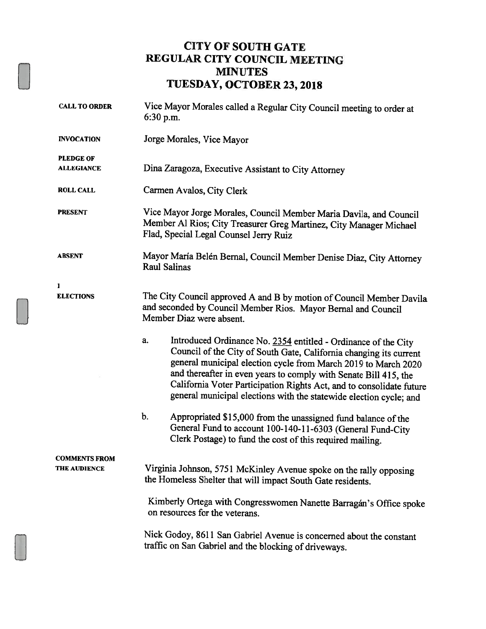## CITY OF SOUTH GATE REGULAR CITY COUNCIL MEETING MINUTES TUESDAY, OCTOBER 23, 2018

| <b>CALL TO ORDER</b> | Vice Mayor Morales called a Regular City Council meeting to order at<br>$6:30$ p.m.                                                                                                                                                                                                                                                                                                                                            |  |  |  |
|----------------------|--------------------------------------------------------------------------------------------------------------------------------------------------------------------------------------------------------------------------------------------------------------------------------------------------------------------------------------------------------------------------------------------------------------------------------|--|--|--|
| <b>INVOCATION</b>    | Jorge Morales, Vice Mayor                                                                                                                                                                                                                                                                                                                                                                                                      |  |  |  |
| <b>PLEDGE OF</b>     |                                                                                                                                                                                                                                                                                                                                                                                                                                |  |  |  |
| <b>ALLEGIANCE</b>    | Dina Zaragoza, Executive Assistant to City Attorney                                                                                                                                                                                                                                                                                                                                                                            |  |  |  |
| <b>ROLL CALL</b>     | Carmen Avalos, City Clerk                                                                                                                                                                                                                                                                                                                                                                                                      |  |  |  |
| <b>PRESENT</b>       | Vice Mayor Jorge Morales, Council Member Maria Davila, and Council<br>Member Al Rios; City Treasurer Greg Martinez, City Manager Michael<br>Flad, Special Legal Counsel Jerry Ruiz                                                                                                                                                                                                                                             |  |  |  |
| <b>ABSENT</b>        | Mayor María Belén Bernal, Council Member Denise Diaz, City Attorney<br><b>Raul Salinas</b>                                                                                                                                                                                                                                                                                                                                     |  |  |  |
| 1                    |                                                                                                                                                                                                                                                                                                                                                                                                                                |  |  |  |
| <b>ELECTIONS</b>     | The City Council approved A and B by motion of Council Member Davila<br>and seconded by Council Member Rios. Mayor Bernal and Council<br>Member Diaz were absent.                                                                                                                                                                                                                                                              |  |  |  |
|                      | Introduced Ordinance No. 2354 entitled - Ordinance of the City<br>a.<br>Council of the City of South Gate, California changing its current<br>general municipal election cycle from March 2019 to March 2020<br>and thereafter in even years to comply with Senate Bill 415, the<br>California Voter Participation Rights Act, and to consolidate future<br>general municipal elections with the statewide election cycle; and |  |  |  |
|                      | b.<br>Appropriated \$15,000 from the unassigned fund balance of the<br>General Fund to account 100-140-11-6303 (General Fund-City<br>Clerk Postage) to fund the cost of this required mailing.                                                                                                                                                                                                                                 |  |  |  |
| <b>COMMENTS FROM</b> |                                                                                                                                                                                                                                                                                                                                                                                                                                |  |  |  |
| <b>THE AUDIENCE</b>  | Virginia Johnson, 5751 McKinley Avenue spoke on the rally opposing<br>the Homeless Shelter that will impact South Gate residents.                                                                                                                                                                                                                                                                                              |  |  |  |
|                      | Kimberly Ortega with Congresswomen Nanette Barragán's Office spoke<br>on resources for the veterans.                                                                                                                                                                                                                                                                                                                           |  |  |  |
|                      | Nick Godoy, 8611 San Gabriel Avenue is concerned about the constant<br>traffic on San Gabriel and the blocking of driveways.                                                                                                                                                                                                                                                                                                   |  |  |  |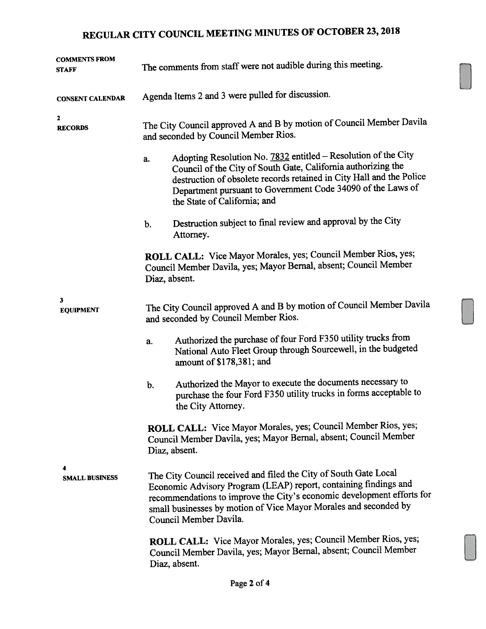## REGULAR CITY COUNCIL MEETING MINUTES OF OCTOBER 23, <sup>2018</sup>

| <b>COMMENTS FROM</b><br>STAFF    | The comments from staff were not audible during this meeting.                                                                                                                                                                                                                                                |  |  |
|----------------------------------|--------------------------------------------------------------------------------------------------------------------------------------------------------------------------------------------------------------------------------------------------------------------------------------------------------------|--|--|
| <b>CONSENT CALENDAR</b>          | Agenda Items 2 and 3 were pulled for discussion.                                                                                                                                                                                                                                                             |  |  |
| 2<br><b>RECORDS</b>              | The City Council approved A and B by motion of Council Member Davila<br>and seconded by Council Member Rios.                                                                                                                                                                                                 |  |  |
|                                  | Adopting Resolution No. 7832 entitled - Resolution of the City<br>a.<br>Council of the City of South Gate, California authorizing the<br>destruction of obsolete records retained in City Hall and the Police<br>Department pursuant to Government Code 34090 of the Laws of<br>the State of California; and |  |  |
|                                  | Destruction subject to final review and approval by the City<br>b.<br>Attorney.                                                                                                                                                                                                                              |  |  |
|                                  | ROLL CALL: Vice Mayor Morales, yes; Council Member Rios, yes;<br>Council Member Davila, yes; Mayor Bernal, absent; Council Member<br>Diaz, absent.                                                                                                                                                           |  |  |
| $\mathbf{3}$<br><b>EQUIPMENT</b> | The City Council approved A and B by motion of Council Member Davila<br>and seconded by Council Member Rios.                                                                                                                                                                                                 |  |  |
|                                  | Authorized the purchase of four Ford F350 utility trucks from<br>a.<br>National Auto Fleet Group through Sourcewell, in the budgeted<br>amount of \$178,381; and                                                                                                                                             |  |  |
|                                  | Authorized the Mayor to execute the documents necessary to<br>b.<br>purchase the four Ford F350 utility trucks in forms acceptable to<br>the City Attorney.                                                                                                                                                  |  |  |
|                                  | ROLL CALL: Vice Mayor Morales, yes; Council Member Rios, yes;<br>Council Member Davila, yes; Mayor Bernal, absent; Council Member<br>Diaz, absent.                                                                                                                                                           |  |  |
| 4<br><b>SMALL BUSINESS</b>       | The City Council received and filed the City of South Gate Local<br>Economic Advisory Program (LEAP) report, containing findings and<br>recommendations to improve the City's economic development efforts for<br>small businesses by motion of Vice Mayor Morales and seconded by<br>Council Member Davila. |  |  |
|                                  | ROLL CALL: Vice Mayor Morales, yes; Council Member Rios, yes;<br>Council Member Davila, yes; Mayor Bernal, absent; Council Member<br>Diaz, absent.                                                                                                                                                           |  |  |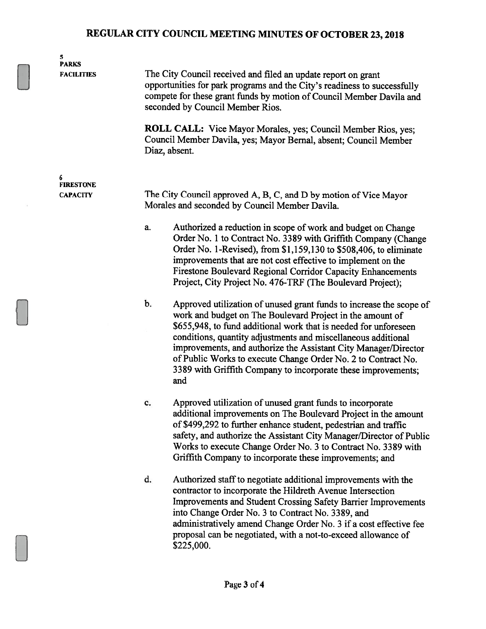## REGULAR CITY COUNCIL MEETING MINUTES OF OCTOBER 23, 2018

| 5<br><b>PARKS</b><br><b>FACILITIES</b>   | The City Council received and filed an update report on grant<br>opportunities for park programs and the City's readiness to successfully<br>compete for these grant funds by motion of Council Member Davila and<br>seconded by Council Member Rios.<br><b>ROLL CALL:</b> Vice Mayor Morales, yes; Council Member Rios, yes;<br>Council Member Davila, yes; Mayor Bernal, absent; Council Member<br>Diaz, absent.                                                                      |  |  |
|------------------------------------------|-----------------------------------------------------------------------------------------------------------------------------------------------------------------------------------------------------------------------------------------------------------------------------------------------------------------------------------------------------------------------------------------------------------------------------------------------------------------------------------------|--|--|
| 6<br><b>FIRESTONE</b><br><b>CAPACITY</b> | The City Council approved A, B, C, and D by motion of Vice Mayor<br>Morales and seconded by Council Member Davila.                                                                                                                                                                                                                                                                                                                                                                      |  |  |
|                                          | Authorized a reduction in scope of work and budget on Change<br>a.<br>Order No. 1 to Contract No. 3389 with Griffith Company (Change<br>Order No. 1-Revised), from \$1,159,130 to \$508,406, to eliminate<br>improvements that are not cost effective to implement on the<br>Firestone Boulevard Regional Corridor Capacity Enhancements<br>Project, City Project No. 476-TRF (The Boulevard Project);                                                                                  |  |  |
|                                          | b.<br>Approved utilization of unused grant funds to increase the scope of<br>work and budget on The Boulevard Project in the amount of<br>\$655,948, to fund additional work that is needed for unforeseen<br>conditions, quantity adjustments and miscellaneous additional<br>improvements, and authorize the Assistant City Manager/Director<br>of Public Works to execute Change Order No. 2 to Contract No.<br>3389 with Griffith Company to incorporate these improvements;<br>and |  |  |
|                                          | Approved utilization of unused grant funds to incorporate<br>c.<br>additional improvements on The Boulevard Project in the amount<br>of \$499,292 to further enhance student, pedestrian and traffic<br>safety, and authorize the Assistant City Manager/Director of Public<br>Works to execute Change Order No. 3 to Contract No. 3389 with<br>Griffith Company to incorporate these improvements; and                                                                                 |  |  |
|                                          | Authorized staff to negotiate additional improvements with the<br>d.<br>contractor to incorporate the Hildreth Avenue Intersection<br><b>Improvements and Student Crossing Safety Barrier Improvements</b><br>into Change Order No. 3 to Contract No. 3389, and<br>administratively amend Change Order No. 3 if a cost effective fee<br>proposal can be negotiated, with a not-to-exceed allowance of<br>\$225,000.                                                                     |  |  |